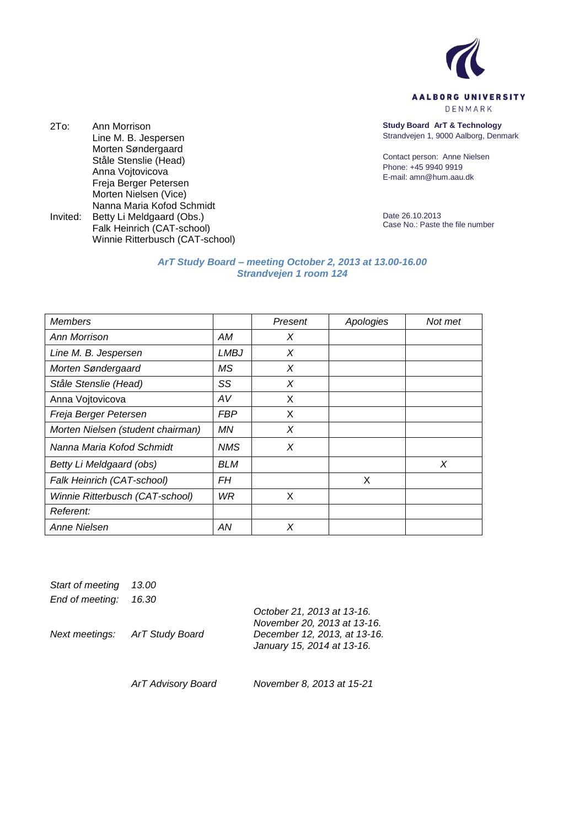

DENMARK

**Study Board ArT & Technology** Strandvejen 1, 9000 Aalborg, Denmark

Contact person: Anne Nielsen Phone: +45 9940 9919 E-mail: amn@hum.aau.dk

Date 26.10.2013 Case No.: Paste the file number

## *ArT Study Board – meeting October 2, 2013 at 13.00-16.00 Strandvejen 1 room 124*

| <b>Members</b>                    |            | Present | Apologies | Not met |
|-----------------------------------|------------|---------|-----------|---------|
| Ann Morrison                      | АM         | X       |           |         |
| Line M. B. Jespersen              | LMBJ       | X       |           |         |
| Morten Søndergaard                | MS         | X       |           |         |
| Ståle Stenslie (Head)             | SS         | X       |           |         |
| Anna Vojtovicova                  | AV         | X       |           |         |
| Freja Berger Petersen             | <b>FBP</b> | X       |           |         |
| Morten Nielsen (student chairman) | ΜN         | X       |           |         |
| Nanna Maria Kofod Schmidt         | <b>NMS</b> | X       |           |         |
| Betty Li Meldgaard (obs)          | BLM        |         |           | X       |
| Falk Heinrich (CAT-school)        | FН         |         | X         |         |
| Winnie Ritterbusch (CAT-school)   | WR.        | X       |           |         |
| Referent:                         |            |         |           |         |
| Anne Nielsen                      | AN         | X       |           |         |

*Start of meeting 13.00*

2To: Ann Morrison

Line M. B. Jespersen Morten Søndergaard Ståle Stenslie (Head) Anna Vojtovicova Freja Berger Petersen Morten Nielsen (Vice) Nanna Maria Kofod Schmidt

Invited: Betty Li Meldgaard (Obs.)

Falk Heinrich (CAT-school) Winnie Ritterbusch (CAT-school)

*End of meeting: 16.30*

*Next meetings: ArT Study Board October 21, 2013 at 13-16. November 20, 2013 at 13-16. December 12, 2013, at 13-16. January 15, 2014 at 13-16. ArT Advisory Board November 8, 2013 at 15-21*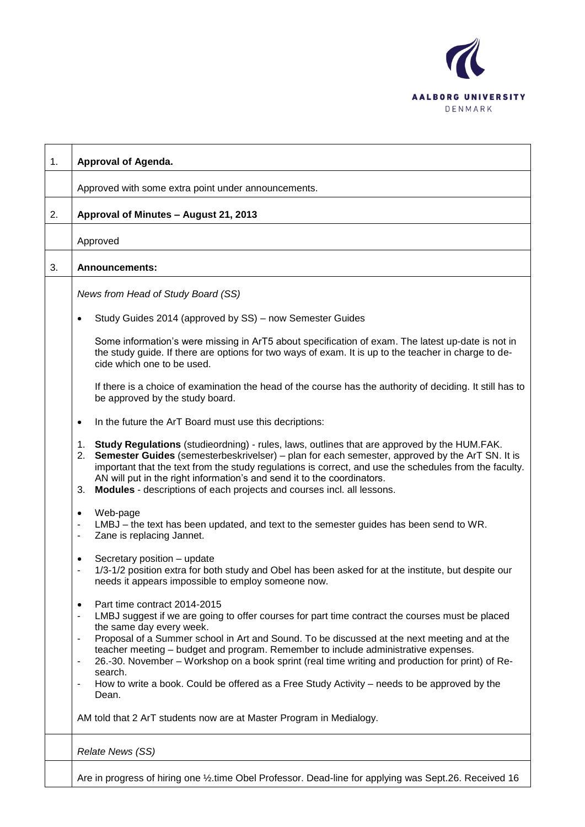

| 1. | Approval of Agenda.                                                                                                                                                                                                                                                                                                                                                                                                                                                                                                                                                                                                             |  |  |  |
|----|---------------------------------------------------------------------------------------------------------------------------------------------------------------------------------------------------------------------------------------------------------------------------------------------------------------------------------------------------------------------------------------------------------------------------------------------------------------------------------------------------------------------------------------------------------------------------------------------------------------------------------|--|--|--|
|    | Approved with some extra point under announcements.                                                                                                                                                                                                                                                                                                                                                                                                                                                                                                                                                                             |  |  |  |
| 2. | Approval of Minutes - August 21, 2013                                                                                                                                                                                                                                                                                                                                                                                                                                                                                                                                                                                           |  |  |  |
|    | Approved                                                                                                                                                                                                                                                                                                                                                                                                                                                                                                                                                                                                                        |  |  |  |
| 3. | <b>Announcements:</b>                                                                                                                                                                                                                                                                                                                                                                                                                                                                                                                                                                                                           |  |  |  |
|    | News from Head of Study Board (SS)                                                                                                                                                                                                                                                                                                                                                                                                                                                                                                                                                                                              |  |  |  |
|    | Study Guides 2014 (approved by SS) – now Semester Guides<br>٠                                                                                                                                                                                                                                                                                                                                                                                                                                                                                                                                                                   |  |  |  |
|    | Some information's were missing in ArT5 about specification of exam. The latest up-date is not in<br>the study guide. If there are options for two ways of exam. It is up to the teacher in charge to de-<br>cide which one to be used.                                                                                                                                                                                                                                                                                                                                                                                         |  |  |  |
|    | If there is a choice of examination the head of the course has the authority of deciding. It still has to<br>be approved by the study board.                                                                                                                                                                                                                                                                                                                                                                                                                                                                                    |  |  |  |
|    | In the future the ArT Board must use this decriptions:<br>$\bullet$                                                                                                                                                                                                                                                                                                                                                                                                                                                                                                                                                             |  |  |  |
|    | Study Regulations (studieordning) - rules, laws, outlines that are approved by the HUM.FAK.<br>1.<br>Semester Guides (semesterbeskrivelser) – plan for each semester, approved by the ArT SN. It is<br>2.<br>important that the text from the study regulations is correct, and use the schedules from the faculty.<br>AN will put in the right information's and send it to the coordinators.<br>Modules - descriptions of each projects and courses incl. all lessons.<br>3.                                                                                                                                                  |  |  |  |
|    | Web-page<br>٠<br>LMBJ – the text has been updated, and text to the semester guides has been send to WR.<br>$\qquad \qquad \blacksquare$<br>Zane is replacing Jannet.<br>-                                                                                                                                                                                                                                                                                                                                                                                                                                                       |  |  |  |
|    | Secretary position - update<br>$\bullet$<br>1/3-1/2 position extra for both study and Obel has been asked for at the institute, but despite our<br>needs it appears impossible to employ someone now.                                                                                                                                                                                                                                                                                                                                                                                                                           |  |  |  |
|    | Part time contract 2014-2015<br>$\bullet$<br>LMBJ suggest if we are going to offer courses for part time contract the courses must be placed<br>$\blacksquare$<br>the same day every week.<br>Proposal of a Summer school in Art and Sound. To be discussed at the next meeting and at the<br>-<br>teacher meeting - budget and program. Remember to include administrative expenses.<br>26.-30. November - Workshop on a book sprint (real time writing and production for print) of Re-<br>$\blacksquare$<br>search.<br>How to write a book. Could be offered as a Free Study Activity – needs to be approved by the<br>Dean. |  |  |  |
|    | AM told that 2 ArT students now are at Master Program in Medialogy.                                                                                                                                                                                                                                                                                                                                                                                                                                                                                                                                                             |  |  |  |
|    | Relate News (SS)                                                                                                                                                                                                                                                                                                                                                                                                                                                                                                                                                                                                                |  |  |  |
|    | Are in progress of hiring one 1/2.time Obel Professor. Dead-line for applying was Sept.26. Received 16                                                                                                                                                                                                                                                                                                                                                                                                                                                                                                                          |  |  |  |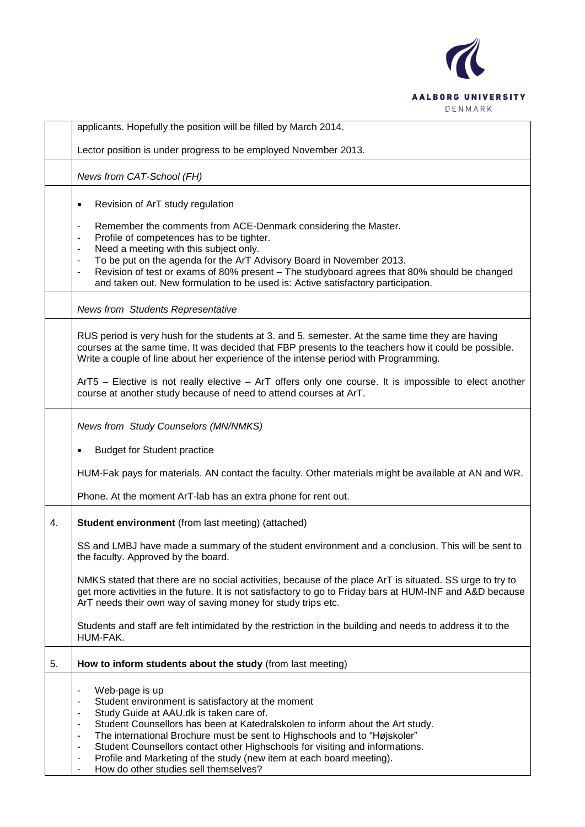

|    | applicants. Hopefully the position will be filled by March 2014.                                                                                                                                                                                                                                                                                                                                                                                                                                                                                                                                            |
|----|-------------------------------------------------------------------------------------------------------------------------------------------------------------------------------------------------------------------------------------------------------------------------------------------------------------------------------------------------------------------------------------------------------------------------------------------------------------------------------------------------------------------------------------------------------------------------------------------------------------|
|    | Lector position is under progress to be employed November 2013.                                                                                                                                                                                                                                                                                                                                                                                                                                                                                                                                             |
|    | News from CAT-School (FH)                                                                                                                                                                                                                                                                                                                                                                                                                                                                                                                                                                                   |
|    | Revision of ArT study regulation<br>$\bullet$<br>Remember the comments from ACE-Denmark considering the Master.<br>$\overline{\phantom{0}}$<br>Profile of competences has to be tighter.<br>۰                                                                                                                                                                                                                                                                                                                                                                                                               |
|    | Need a meeting with this subject only.<br>$\qquad \qquad \blacksquare$<br>To be put on the agenda for the ArT Advisory Board in November 2013.<br>۰<br>Revision of test or exams of 80% present - The studyboard agrees that 80% should be changed<br>۰<br>and taken out. New formulation to be used is: Active satisfactory participation.                                                                                                                                                                                                                                                                 |
|    | <b>News from Students Representative</b>                                                                                                                                                                                                                                                                                                                                                                                                                                                                                                                                                                    |
|    | RUS period is very hush for the students at 3. and 5. semester. At the same time they are having<br>courses at the same time. It was decided that FBP presents to the teachers how it could be possible.<br>Write a couple of line about her experience of the intense period with Programming.                                                                                                                                                                                                                                                                                                             |
|    | ArT5 – Elective is not really elective – ArT offers only one course. It is impossible to elect another<br>course at another study because of need to attend courses at ArT.                                                                                                                                                                                                                                                                                                                                                                                                                                 |
|    | <b>News from Study Counselors (MN/NMKS)</b>                                                                                                                                                                                                                                                                                                                                                                                                                                                                                                                                                                 |
|    | <b>Budget for Student practice</b>                                                                                                                                                                                                                                                                                                                                                                                                                                                                                                                                                                          |
|    | HUM-Fak pays for materials. AN contact the faculty. Other materials might be available at AN and WR.                                                                                                                                                                                                                                                                                                                                                                                                                                                                                                        |
|    | Phone. At the moment ArT-lab has an extra phone for rent out.                                                                                                                                                                                                                                                                                                                                                                                                                                                                                                                                               |
| 4. | <b>Student environment</b> (from last meeting) (attached)                                                                                                                                                                                                                                                                                                                                                                                                                                                                                                                                                   |
|    | SS and LMBJ have made a summary of the student environment and a conclusion. This will be sent to<br>the faculty. Approved by the board.                                                                                                                                                                                                                                                                                                                                                                                                                                                                    |
|    | NMKS stated that there are no social activities, because of the place ArT is situated. SS urge to try to<br>get more activities in the future. It is not satisfactory to go to Friday bars at HUM-INF and A&D because<br>ArT needs their own way of saving money for study trips etc.                                                                                                                                                                                                                                                                                                                       |
|    | Students and staff are felt intimidated by the restriction in the building and needs to address it to the<br>HUM-FAK.                                                                                                                                                                                                                                                                                                                                                                                                                                                                                       |
| 5. | How to inform students about the study (from last meeting)                                                                                                                                                                                                                                                                                                                                                                                                                                                                                                                                                  |
|    | Web-page is up<br>$\overline{\phantom{0}}$<br>Student environment is satisfactory at the moment<br>-<br>Study Guide at AAU.dk is taken care of.<br>۰<br>Student Counsellors has been at Katedralskolen to inform about the Art study.<br>$\qquad \qquad \blacksquare$<br>The international Brochure must be sent to Highschools and to "Højskoler"<br>۰<br>Student Counsellors contact other Highschools for visiting and informations.<br>۰<br>Profile and Marketing of the study (new item at each board meeting).<br>$\overline{a}$<br>How do other studies sell themselves?<br>$\overline{\phantom{0}}$ |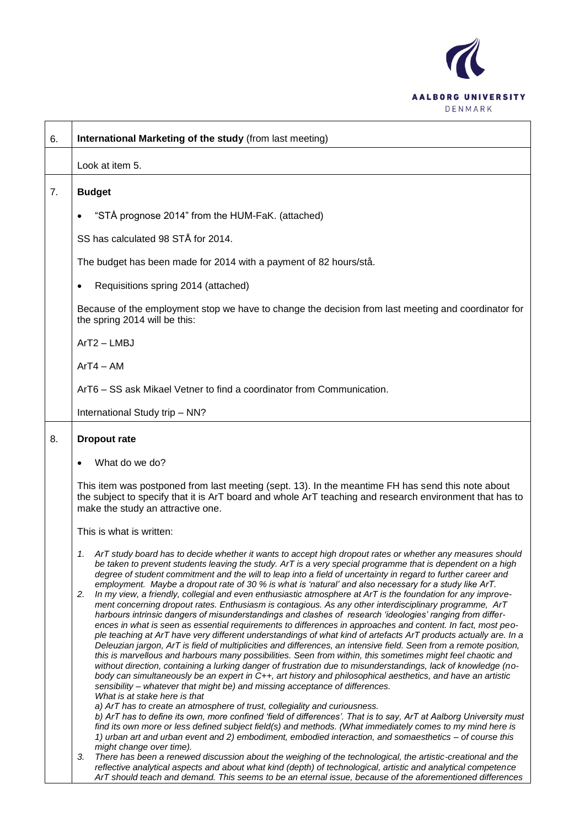

| 6. | International Marketing of the study (from last meeting)                                                                                                                                                                                                                                                                                                                                                                                                                                                                                                                                                                                                                                                                                                                                                                                                                                                                                                                                                                                                                                                                                                                                                                                                                                                                                                                                                                                                                                                                                                                                                                                                                                                                                                                                                                                                                                                                                                                                                                                                         |
|----|------------------------------------------------------------------------------------------------------------------------------------------------------------------------------------------------------------------------------------------------------------------------------------------------------------------------------------------------------------------------------------------------------------------------------------------------------------------------------------------------------------------------------------------------------------------------------------------------------------------------------------------------------------------------------------------------------------------------------------------------------------------------------------------------------------------------------------------------------------------------------------------------------------------------------------------------------------------------------------------------------------------------------------------------------------------------------------------------------------------------------------------------------------------------------------------------------------------------------------------------------------------------------------------------------------------------------------------------------------------------------------------------------------------------------------------------------------------------------------------------------------------------------------------------------------------------------------------------------------------------------------------------------------------------------------------------------------------------------------------------------------------------------------------------------------------------------------------------------------------------------------------------------------------------------------------------------------------------------------------------------------------------------------------------------------------|
|    | Look at item 5.                                                                                                                                                                                                                                                                                                                                                                                                                                                                                                                                                                                                                                                                                                                                                                                                                                                                                                                                                                                                                                                                                                                                                                                                                                                                                                                                                                                                                                                                                                                                                                                                                                                                                                                                                                                                                                                                                                                                                                                                                                                  |
| 7. | <b>Budget</b>                                                                                                                                                                                                                                                                                                                                                                                                                                                                                                                                                                                                                                                                                                                                                                                                                                                                                                                                                                                                                                                                                                                                                                                                                                                                                                                                                                                                                                                                                                                                                                                                                                                                                                                                                                                                                                                                                                                                                                                                                                                    |
|    | "STÅ prognose 2014" from the HUM-FaK. (attached)                                                                                                                                                                                                                                                                                                                                                                                                                                                                                                                                                                                                                                                                                                                                                                                                                                                                                                                                                                                                                                                                                                                                                                                                                                                                                                                                                                                                                                                                                                                                                                                                                                                                                                                                                                                                                                                                                                                                                                                                                 |
|    | SS has calculated 98 STÅ for 2014.                                                                                                                                                                                                                                                                                                                                                                                                                                                                                                                                                                                                                                                                                                                                                                                                                                                                                                                                                                                                                                                                                                                                                                                                                                                                                                                                                                                                                                                                                                                                                                                                                                                                                                                                                                                                                                                                                                                                                                                                                               |
|    | The budget has been made for 2014 with a payment of 82 hours/stå.                                                                                                                                                                                                                                                                                                                                                                                                                                                                                                                                                                                                                                                                                                                                                                                                                                                                                                                                                                                                                                                                                                                                                                                                                                                                                                                                                                                                                                                                                                                                                                                                                                                                                                                                                                                                                                                                                                                                                                                                |
|    | Requisitions spring 2014 (attached)<br>$\bullet$                                                                                                                                                                                                                                                                                                                                                                                                                                                                                                                                                                                                                                                                                                                                                                                                                                                                                                                                                                                                                                                                                                                                                                                                                                                                                                                                                                                                                                                                                                                                                                                                                                                                                                                                                                                                                                                                                                                                                                                                                 |
|    | Because of the employment stop we have to change the decision from last meeting and coordinator for<br>the spring 2014 will be this:                                                                                                                                                                                                                                                                                                                                                                                                                                                                                                                                                                                                                                                                                                                                                                                                                                                                                                                                                                                                                                                                                                                                                                                                                                                                                                                                                                                                                                                                                                                                                                                                                                                                                                                                                                                                                                                                                                                             |
|    | ArT2-LMBJ                                                                                                                                                                                                                                                                                                                                                                                                                                                                                                                                                                                                                                                                                                                                                                                                                                                                                                                                                                                                                                                                                                                                                                                                                                                                                                                                                                                                                                                                                                                                                                                                                                                                                                                                                                                                                                                                                                                                                                                                                                                        |
|    | $ArT4 - AM$                                                                                                                                                                                                                                                                                                                                                                                                                                                                                                                                                                                                                                                                                                                                                                                                                                                                                                                                                                                                                                                                                                                                                                                                                                                                                                                                                                                                                                                                                                                                                                                                                                                                                                                                                                                                                                                                                                                                                                                                                                                      |
|    | ArT6 – SS ask Mikael Vetner to find a coordinator from Communication.                                                                                                                                                                                                                                                                                                                                                                                                                                                                                                                                                                                                                                                                                                                                                                                                                                                                                                                                                                                                                                                                                                                                                                                                                                                                                                                                                                                                                                                                                                                                                                                                                                                                                                                                                                                                                                                                                                                                                                                            |
|    | International Study trip - NN?                                                                                                                                                                                                                                                                                                                                                                                                                                                                                                                                                                                                                                                                                                                                                                                                                                                                                                                                                                                                                                                                                                                                                                                                                                                                                                                                                                                                                                                                                                                                                                                                                                                                                                                                                                                                                                                                                                                                                                                                                                   |
| 8. | <b>Dropout rate</b>                                                                                                                                                                                                                                                                                                                                                                                                                                                                                                                                                                                                                                                                                                                                                                                                                                                                                                                                                                                                                                                                                                                                                                                                                                                                                                                                                                                                                                                                                                                                                                                                                                                                                                                                                                                                                                                                                                                                                                                                                                              |
|    | What do we do?                                                                                                                                                                                                                                                                                                                                                                                                                                                                                                                                                                                                                                                                                                                                                                                                                                                                                                                                                                                                                                                                                                                                                                                                                                                                                                                                                                                                                                                                                                                                                                                                                                                                                                                                                                                                                                                                                                                                                                                                                                                   |
|    | This item was postponed from last meeting (sept. 13). In the meantime FH has send this note about<br>the subject to specify that it is ArT board and whole ArT teaching and research environment that has to<br>make the study an attractive one.                                                                                                                                                                                                                                                                                                                                                                                                                                                                                                                                                                                                                                                                                                                                                                                                                                                                                                                                                                                                                                                                                                                                                                                                                                                                                                                                                                                                                                                                                                                                                                                                                                                                                                                                                                                                                |
|    | This is what is written:                                                                                                                                                                                                                                                                                                                                                                                                                                                                                                                                                                                                                                                                                                                                                                                                                                                                                                                                                                                                                                                                                                                                                                                                                                                                                                                                                                                                                                                                                                                                                                                                                                                                                                                                                                                                                                                                                                                                                                                                                                         |
|    | ArT study board has to decide whether it wants to accept high dropout rates or whether any measures should<br>1.<br>be taken to prevent students leaving the study. ArT is a very special programme that is dependent on a high<br>degree of student commitment and the will to leap into a field of uncertainty in regard to further career and<br>employment. Maybe a dropout rate of 30 % is what is 'natural' and also necessary for a study like ArT.<br>In my view, a friendly, collegial and even enthusiastic atmosphere at ArT is the foundation for any improve-<br>2.<br>ment concerning dropout rates. Enthusiasm is contagious. As any other interdisciplinary programme, ArT<br>harbours intrinsic dangers of misunderstandings and clashes of research 'ideologies' ranging from differ-<br>ences in what is seen as essential requirements to differences in approaches and content. In fact, most peo-<br>ple teaching at ArT have very different understandings of what kind of artefacts ArT products actually are. In a<br>Deleuzian jargon, ArT is field of multiplicities and differences, an intensive field. Seen from a remote position,<br>this is marvellous and harbours many possibilities. Seen from within, this sometimes might feel chaotic and<br>without direction, containing a lurking danger of frustration due to misunderstandings, lack of knowledge (no-<br>body can simultaneously be an expert in C++, art history and philosophical aesthetics, and have an artistic<br>sensibility - whatever that might be) and missing acceptance of differences.<br>What is at stake here is that<br>a) ArT has to create an atmosphere of trust, collegiality and curiousness.<br>b) ArT has to define its own, more confined 'field of differences'. That is to say, ArT at Aalborg University must<br>find its own more or less defined subject field(s) and methods. (What immediately comes to my mind here is<br>1) urban art and urban event and 2) embodiment, embodied interaction, and somaesthetics - of course this |
|    | might change over time).<br>There has been a renewed discussion about the weighing of the technological, the artistic-creational and the<br>3.<br>reflective analytical aspects and about what kind (depth) of technological, artistic and analytical competence<br>ArT should teach and demand. This seems to be an eternal issue, because of the aforementioned differences                                                                                                                                                                                                                                                                                                                                                                                                                                                                                                                                                                                                                                                                                                                                                                                                                                                                                                                                                                                                                                                                                                                                                                                                                                                                                                                                                                                                                                                                                                                                                                                                                                                                                    |